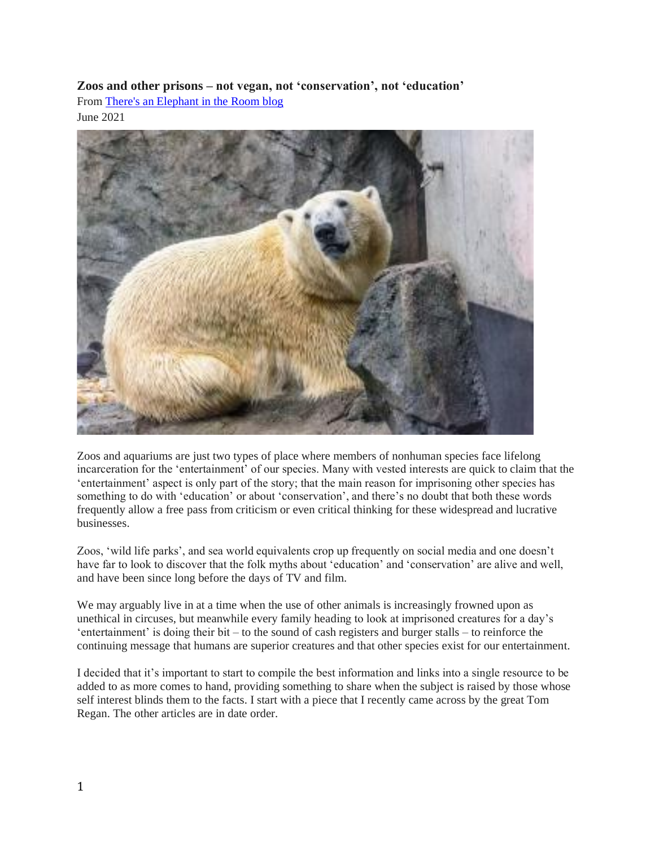# **Zoos and other prisons – not vegan, not 'conservation', not 'education'**

From [There's an Elephant in the Room blog](https://theresanelephantintheroomblog.wordpress.com/2021/06/16/zoos-and-other-prisons-not-vegan-not-conservation-not-education/)

June 2021



Zoos and aquariums are just two types of place where members of nonhuman species face lifelong incarceration for the 'entertainment' of our species. Many with vested interests are quick to claim that the 'entertainment' aspect is only part of the story; that the main reason for imprisoning other species has something to do with 'education' or about 'conservation', and there's no doubt that both these words frequently allow a free pass from criticism or even critical thinking for these widespread and lucrative businesses.

Zoos, 'wild life parks', and sea world equivalents crop up frequently on social media and one doesn't have far to look to discover that the folk myths about 'education' and 'conservation' are alive and well, and have been since long before the days of TV and film.

We may arguably live in at a time when the use of other animals is increasingly frowned upon as unethical in circuses, but meanwhile every family heading to look at imprisoned creatures for a day's 'entertainment' is doing their bit – to the sound of cash registers and burger stalls – to reinforce the continuing message that humans are superior creatures and that other species exist for our entertainment.

I decided that it's important to start to compile the best information and links into a single resource to be added to as more comes to hand, providing something to share when the subject is raised by those whose self interest blinds them to the facts. I start with a piece that I recently came across by the great Tom Regan. The other articles are in date order.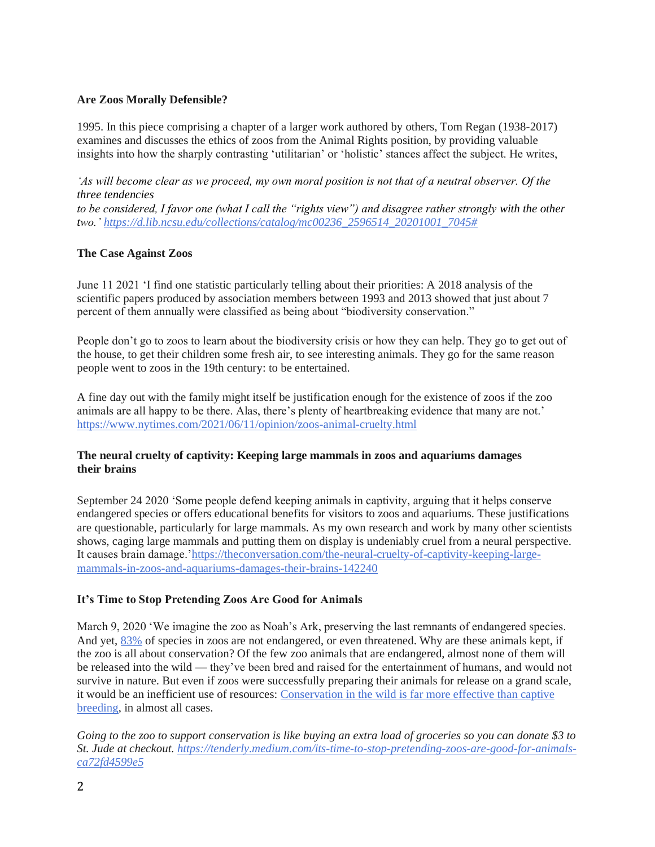# **Are Zoos Morally Defensible?**

1995. In this piece comprising a chapter of a larger work authored by others, Tom Regan (1938-2017) examines and discusses the ethics of zoos from the Animal Rights position, by providing valuable insights into how the sharply contrasting 'utilitarian' or 'holistic' stances affect the subject. He writes,

*'As will become clear as we proceed, my own moral position is not that of a neutral observer. Of the three tendencies to be considered, I favor one (what I call the "rights view") and disagree rather strongly with the other two.' [https://d.lib.ncsu.edu/collections/catalog/mc00236\\_2596514\\_20201001\\_7045#](https://d.lib.ncsu.edu/collections/catalog/mc00236_2596514_20201001_7045)*

## **The Case Against Zoos**

June 11 2021 'I find one statistic particularly telling about their priorities: A 2018 analysis of the scientific papers produced by association members between 1993 and 2013 showed that just about 7 percent of them annually were classified as being about "biodiversity conservation."

People don't go to zoos to learn about the biodiversity crisis or how they can help. They go to get out of the house, to get their children some fresh air, to see interesting animals. They go for the same reason people went to zoos in the 19th century: to be entertained.

A fine day out with the family might itself be justification enough for the existence of zoos if the zoo animals are all happy to be there. Alas, there's plenty of heartbreaking evidence that many are not.' <https://www.nytimes.com/2021/06/11/opinion/zoos-animal-cruelty.html>

# **The neural cruelty of captivity: Keeping large mammals in zoos and aquariums damages their brains**

September 24 2020 'Some people defend keeping animals in captivity, arguing that it helps conserve endangered species or offers educational benefits for visitors to zoos and aquariums. These justifications are questionable, particularly for large mammals. As my own research and work by many other scientists shows, caging large mammals and putting them on display is undeniably cruel from a neural perspective. It causes brain damage.['https://theconversation.com/the-neural-cruelty-of-captivity-keeping-large](https://theconversation.com/the-neural-cruelty-of-captivity-keeping-large-mammals-in-zoos-and-aquariums-damages-their-brains-142240)[mammals-in-zoos-and-aquariums-damages-their-brains-142240](https://theconversation.com/the-neural-cruelty-of-captivity-keeping-large-mammals-in-zoos-and-aquariums-damages-their-brains-142240)

#### **It's Time to Stop Pretending Zoos Are Good for Animals**

March 9, 2020 'We imagine the zoo as Noah's Ark, preserving the last remnants of endangered species. And yet, [83%](https://www.aza.org/zoo-and-aquarium-statistics) of species in zoos are not endangered, or even threatened. Why are these animals kept, if the zoo is all about conservation? Of the few zoo animals that are endangered, almost none of them will be released into the wild — they've been bred and raised for the entertainment of humans, and would not survive in nature. But even if zoos were successfully preparing their animals for release on a grand scale, it would be an inefficient use of resources: [Conservation in the wild is far more effective than captive](https://www.sciencedaily.com/releases/2015/06/150604203450.htm)  [breeding,](https://www.sciencedaily.com/releases/2015/06/150604203450.htm) in almost all cases.

*Going to the zoo to support conservation is like buying an extra load of groceries so you can donate \$3 to St. Jude at checkout. [https://tenderly.medium.com/its-time-to-stop-pretending-zoos-are-good-for-animals](https://tenderly.medium.com/its-time-to-stop-pretending-zoos-are-good-for-animals-ca72fd4599e5)[ca72fd4599e5](https://tenderly.medium.com/its-time-to-stop-pretending-zoos-are-good-for-animals-ca72fd4599e5)*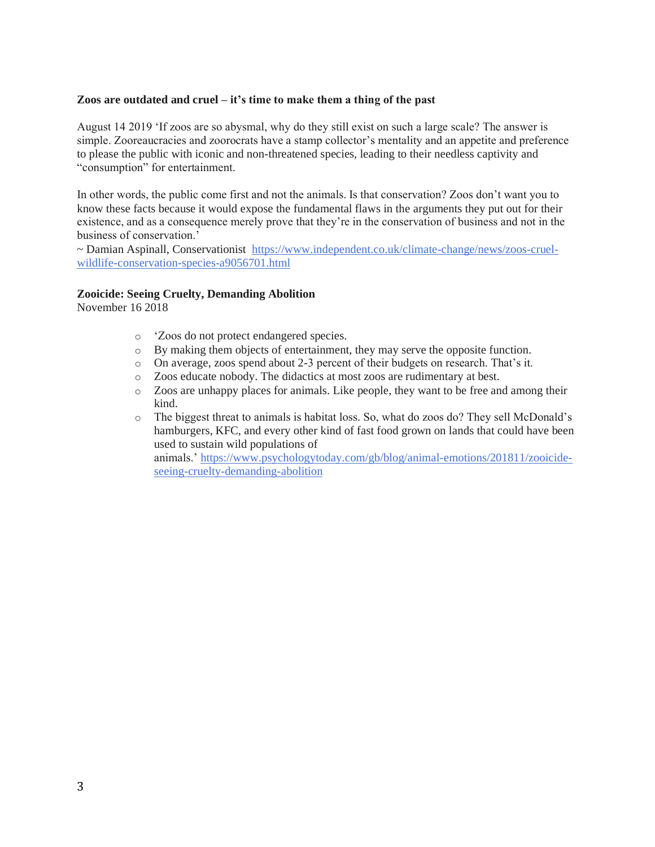#### **Zoos are outdated and cruel – it's time to make them a thing of the past**

August 14 2019 'If zoos are so abysmal, why do they still exist on such a large scale? The answer is simple. Zooreaucracies and zoorocrats have a stamp collector's mentality and an appetite and preference to please the public with iconic and non-threatened species, leading to their needless captivity and "consumption" for entertainment.

In other words, the public come first and not the animals. Is that conservation? Zoos don't want you to know these facts because it would expose the fundamental flaws in the arguments they put out for their existence, and as a consequence merely prove that they're in the conservation of business and not in the business of conservation.'

~ Damian Aspinall, Conservationist [https://www.independent.co.uk/climate-change/news/zoos-cruel](https://www.independent.co.uk/climate-change/news/zoos-cruel-wildlife-conservation-species-a9056701.html)[wildlife-conservation-species-a9056701.html](https://www.independent.co.uk/climate-change/news/zoos-cruel-wildlife-conservation-species-a9056701.html)

#### **Zooicide: Seeing Cruelty, Demanding Abolition**

November 16 2018

- o 'Zoos do not protect endangered species.
- o By making them objects of entertainment, they may serve the opposite function.
- o On average, zoos spend about 2-3 percent of their budgets on research. That's it.
- o Zoos educate nobody. The didactics at most zoos are rudimentary at best.
- o Zoos are unhappy places for animals. Like people, they want to be free and among their kind.
- o The biggest threat to animals is habitat loss. So, what do zoos do? They sell McDonald's hamburgers, KFC, and every other kind of fast food grown on lands that could have been used to sustain wild populations of animals.' [https://www.psychologytoday.com/gb/blog/animal-emotions/201811/zooicide](https://www.psychologytoday.com/gb/blog/animal-emotions/201811/zooicide-seeing-cruelty-demanding-abolition)[seeing-cruelty-demanding-abolition](https://www.psychologytoday.com/gb/blog/animal-emotions/201811/zooicide-seeing-cruelty-demanding-abolition)